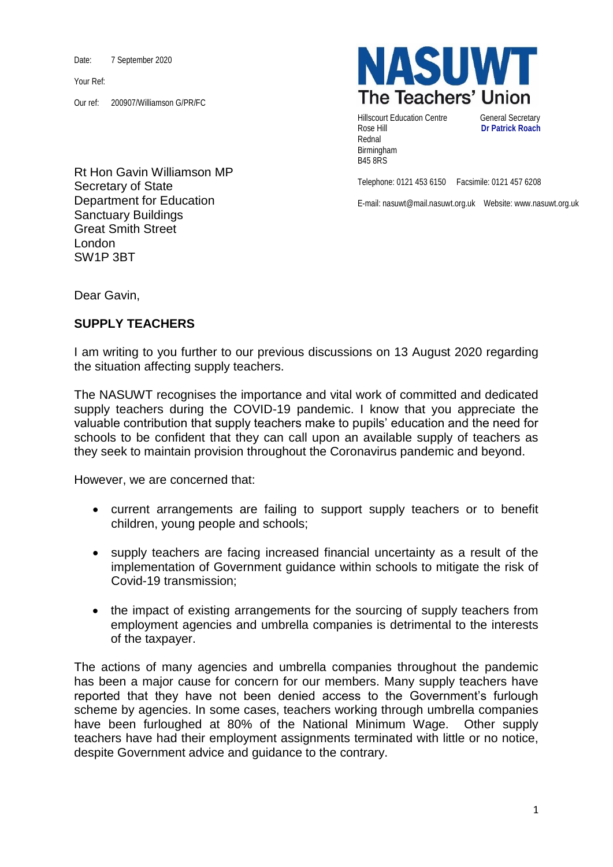Date: 7 September 2020

Your Ref:

Our ref: 200907/Williamson G/PR/FC



**NASUWT** The Teachers' Union

Hillscourt Education Centre **General Secretary** Rose Hill **Dr Patrick Roach** Rednal Birmingham B45 8RS

Telephone: 0121 453 6150 Facsimile: 0121 457 6208

E-mail: nasuwt@mail.nasuwt.org.uk Website: www.nasuwt.org.uk

Dear Gavin,

## **SUPPLY TEACHERS**

I am writing to you further to our previous discussions on 13 August 2020 regarding the situation affecting supply teachers.

The NASUWT recognises the importance and vital work of committed and dedicated supply teachers during the COVID-19 pandemic. I know that you appreciate the valuable contribution that supply teachers make to pupils' education and the need for schools to be confident that they can call upon an available supply of teachers as they seek to maintain provision throughout the Coronavirus pandemic and beyond.

However, we are concerned that:

- current arrangements are failing to support supply teachers or to benefit children, young people and schools;
- supply teachers are facing increased financial uncertainty as a result of the implementation of Government guidance within schools to mitigate the risk of Covid-19 transmission;
- the impact of existing arrangements for the sourcing of supply teachers from employment agencies and umbrella companies is detrimental to the interests of the taxpayer.

The actions of many agencies and umbrella companies throughout the pandemic has been a major cause for concern for our members. Many supply teachers have reported that they have not been denied access to the Government's furlough scheme by agencies. In some cases, teachers working through umbrella companies have been furloughed at 80% of the National Minimum Wage. Other supply teachers have had their employment assignments terminated with little or no notice, despite Government advice and guidance to the contrary.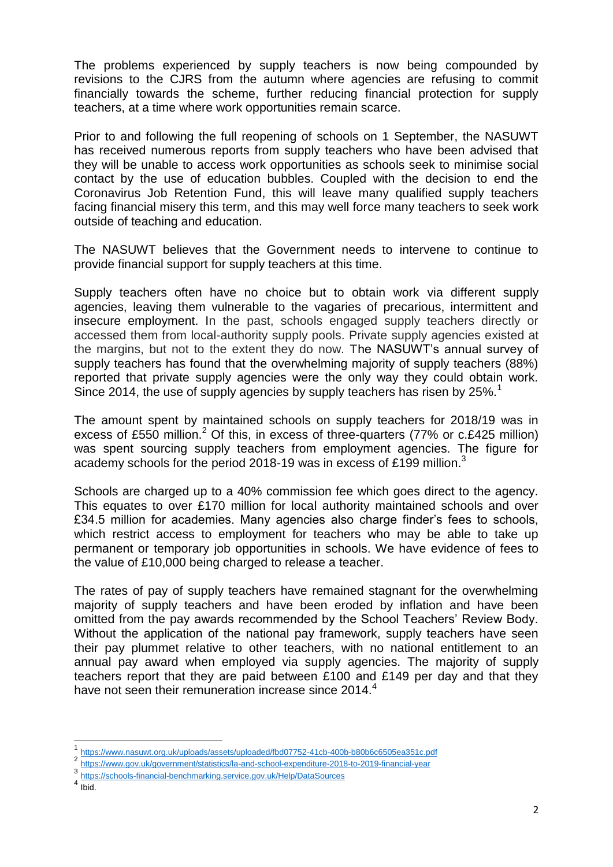The problems experienced by supply teachers is now being compounded by revisions to the CJRS from the autumn where agencies are refusing to commit financially towards the scheme, further reducing financial protection for supply teachers, at a time where work opportunities remain scarce.

Prior to and following the full reopening of schools on 1 September, the NASUWT has received numerous reports from supply teachers who have been advised that they will be unable to access work opportunities as schools seek to minimise social contact by the use of education bubbles. Coupled with the decision to end the Coronavirus Job Retention Fund, this will leave many qualified supply teachers facing financial misery this term, and this may well force many teachers to seek work outside of teaching and education.

The NASUWT believes that the Government needs to intervene to continue to provide financial support for supply teachers at this time.

Supply teachers often have no choice but to obtain work via different supply agencies, leaving them vulnerable to the vagaries of precarious, intermittent and insecure employment. In the past, schools engaged supply teachers directly or accessed them from local-authority supply pools. Private supply agencies existed at the margins, but not to the extent they do now. The NASUWT's annual survey of supply teachers has found that the overwhelming majority of supply teachers (88%) reported that private supply agencies were the only way they could obtain work. Since 2014, the use of supply agencies by supply teachers has risen by 25%.<sup>1</sup>

The amount spent by maintained schools on supply teachers for 2018/19 was in excess of £550 million.<sup>2</sup> Of this, in excess of three-quarters (77% or c.£425 million) was spent sourcing supply teachers from employment agencies. The figure for academy schools for the period 2018-19 was in excess of £199 million.<sup>3</sup>

Schools are charged up to a 40% commission fee which goes direct to the agency. This equates to over £170 million for local authority maintained schools and over £34.5 million for academies. Many agencies also charge finder's fees to schools, which restrict access to employment for teachers who may be able to take up permanent or temporary job opportunities in schools. We have evidence of fees to the value of £10,000 being charged to release a teacher.

The rates of pay of supply teachers have remained stagnant for the overwhelming majority of supply teachers and have been eroded by inflation and have been omitted from the pay awards recommended by the School Teachers' Review Body. Without the application of the national pay framework, supply teachers have seen their pay plummet relative to other teachers, with no national entitlement to an annual pay award when employed via supply agencies. The majority of supply teachers report that they are paid between £100 and £149 per day and that they have not seen their remuneration increase since 2014.<sup>4</sup>

**.** 

<sup>1</sup> <https://www.nasuwt.org.uk/uploads/assets/uploaded/fbd07752-41cb-400b-b80b6c6505ea351c.pdf>

<sup>2</sup> <https://www.gov.uk/government/statistics/la-and-school-expenditure-2018-to-2019-financial-year>

<sup>3</sup> <https://schools-financial-benchmarking.service.gov.uk/Help/DataSources>

<sup>4</sup> Ibid.